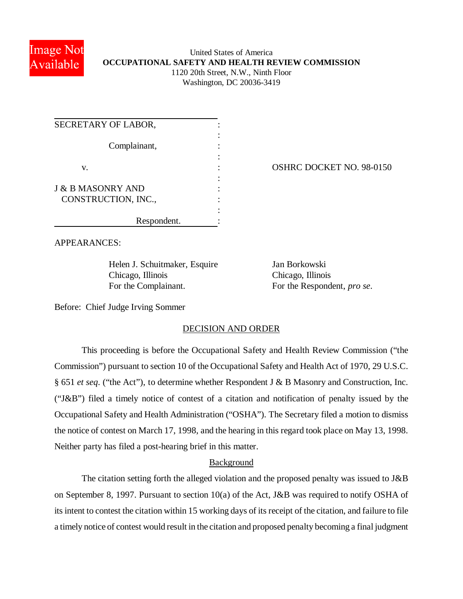

# United States of America **OCCUPATIONAL SAFETY AND HEALTH REVIEW COMMISSION** 1120 20th Street, N.W., Ninth Floor Washington, DC 20036-3419

| SECRETARY OF LABOR,          |             |
|------------------------------|-------------|
| Complainant,                 |             |
| V.                           |             |
| <b>J &amp; B MASONRY AND</b> |             |
| CONSTRUCTION, INC.,          |             |
|                              | Respondent. |

# OSHRC DOCKET NO. 98-0150

APPEARANCES:

Helen J. Schuitmaker, Esquire Jan Borkowski Chicago, Illinois Chicago, Illinois For the Complainant. For the Respondent, *pro se*.

Before: Chief Judge Irving Sommer

## DECISION AND ORDER

This proceeding is before the Occupational Safety and Health Review Commission ("the Commission") pursuant to section 10 of the Occupational Safety and Health Act of 1970, 29 U.S.C. § 651 *et seq*. ("the Act"), to determine whether Respondent J & B Masonry and Construction, Inc. ("J&B") filed a timely notice of contest of a citation and notification of penalty issued by the Occupational Safety and Health Administration ("OSHA"). The Secretary filed a motion to dismiss the notice of contest on March 17, 1998, and the hearing in this regard took place on May 13, 1998. Neither party has filed a post-hearing brief in this matter.

## Background

The citation setting forth the alleged violation and the proposed penalty was issued to J&B on September 8, 1997. Pursuant to section 10(a) of the Act, J&B was required to notify OSHA of its intent to contest the citation within 15 working days of its receipt of the citation, and failure to file a timely notice of contest would result in the citation and proposed penalty becoming a final judgment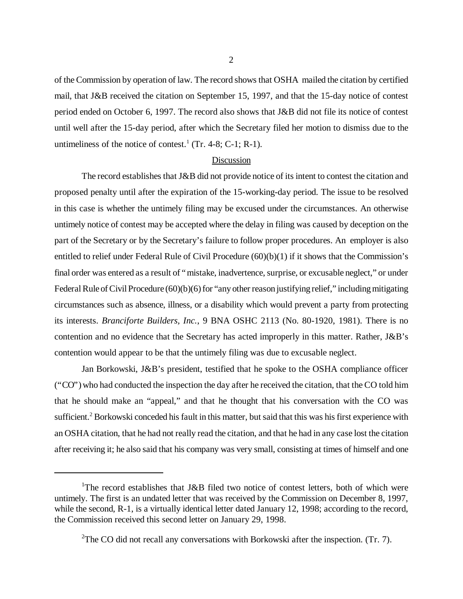of the Commission by operation of law. The record shows that OSHA mailed the citation by certified mail, that J&B received the citation on September 15, 1997, and that the 15-day notice of contest period ended on October 6, 1997. The record also shows that J&B did not file its notice of contest until well after the 15-day period, after which the Secretary filed her motion to dismiss due to the untimeliness of the notice of contest.<sup>1</sup> (Tr. 4-8; C-1; R-1).

#### Discussion

The record establishes that J&B did not provide notice of its intent to contest the citation and proposed penalty until after the expiration of the 15-working-day period. The issue to be resolved in this case is whether the untimely filing may be excused under the circumstances. An otherwise untimely notice of contest may be accepted where the delay in filing was caused by deception on the part of the Secretary or by the Secretary's failure to follow proper procedures. An employer is also entitled to relief under Federal Rule of Civil Procedure (60)(b)(1) if it shows that the Commission's final order was entered as a result of "mistake, inadvertence, surprise, or excusable neglect," or under Federal Rule of Civil Procedure (60)(b)(6) for "any other reason justifying relief," including mitigating circumstances such as absence, illness, or a disability which would prevent a party from protecting its interests. *Branciforte Builders, Inc.*, 9 BNA OSHC 2113 (No. 80-1920, 1981). There is no contention and no evidence that the Secretary has acted improperly in this matter. Rather, J&B's contention would appear to be that the untimely filing was due to excusable neglect.

Jan Borkowski, J&B's president, testified that he spoke to the OSHA compliance officer ("CO") who had conducted the inspection the day after he received the citation, that the CO told him that he should make an "appeal," and that he thought that his conversation with the CO was sufficient.<sup>2</sup> Borkowski conceded his fault in this matter, but said that this was his first experience with an OSHA citation, that he had not really read the citation, and that he had in any case lost the citation after receiving it; he also said that his company was very small, consisting at times of himself and one

<sup>&</sup>lt;sup>1</sup>The record establishes that J&B filed two notice of contest letters, both of which were untimely. The first is an undated letter that was received by the Commission on December 8, 1997, while the second, R-1, is a virtually identical letter dated January 12, 1998; according to the record, the Commission received this second letter on January 29, 1998.

<sup>&</sup>lt;sup>2</sup>The CO did not recall any conversations with Borkowski after the inspection. (Tr. 7).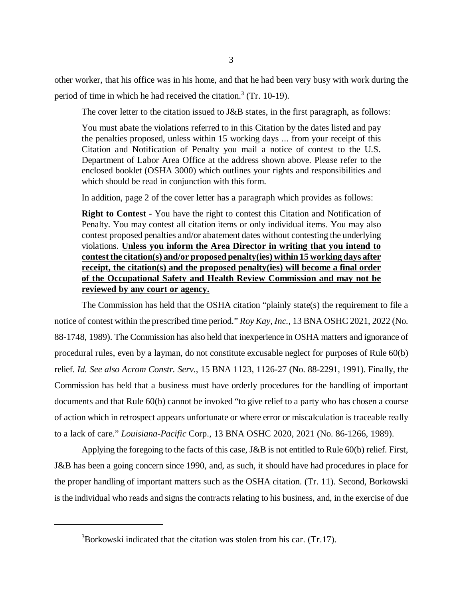other worker, that his office was in his home, and that he had been very busy with work during the period of time in which he had received the citation.<sup>3</sup> (Tr. 10-19).

The cover letter to the citation issued to J&B states, in the first paragraph, as follows:

You must abate the violations referred to in this Citation by the dates listed and pay the penalties proposed, unless within 15 working days ... from your receipt of this Citation and Notification of Penalty you mail a notice of contest to the U.S. Department of Labor Area Office at the address shown above. Please refer to the enclosed booklet (OSHA 3000) which outlines your rights and responsibilities and which should be read in conjunction with this form.

In addition, page 2 of the cover letter has a paragraph which provides as follows:

**Right to Contest** - You have the right to contest this Citation and Notification of Penalty. You may contest all citation items or only individual items. You may also contest proposed penalties and/or abatement dates without contesting the underlying violations. **Unless you inform the Area Director in writing that you intend to contest the citation(s) and/or proposed penalty(ies) within 15 working days after receipt, the citation(s) and the proposed penalty(ies) will become a final order of the Occupational Safety and Health Review Commission and may not be reviewed by any court or agency.**

The Commission has held that the OSHA citation "plainly state(s) the requirement to file a notice of contest within the prescribed time period." *Roy Kay, Inc.*, 13 BNA OSHC 2021, 2022 (No. 88-1748, 1989). The Commission has also held that inexperience in OSHA matters and ignorance of procedural rules, even by a layman, do not constitute excusable neglect for purposes of Rule 60(b) relief. *Id. See also Acrom Constr. Serv.*, 15 BNA 1123, 1126-27 (No. 88-2291, 1991). Finally, the Commission has held that a business must have orderly procedures for the handling of important documents and that Rule 60(b) cannot be invoked "to give relief to a party who has chosen a course of action which in retrospect appears unfortunate or where error or miscalculation is traceable really to a lack of care." *Louisiana-Pacific* Corp., 13 BNA OSHC 2020, 2021 (No. 86-1266, 1989).

Applying the foregoing to the facts of this case, J&B is not entitled to Rule 60(b) relief. First, J&B has been a going concern since 1990, and, as such, it should have had procedures in place for the proper handling of important matters such as the OSHA citation. (Tr. 11). Second, Borkowski is the individual who reads and signs the contracts relating to his business, and, in the exercise of due

 $3Borkowski$  indicated that the citation was stolen from his car. (Tr.17).